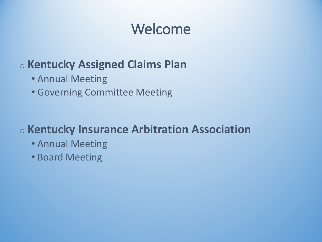# Welcome

### o **Kentucky Assigned Claims Plan**

- Annual Meeting
- Governing Committee Meeting

### o **Kentucky Insurance Arbitration Association**

- Annual Meeting
- Board Meeting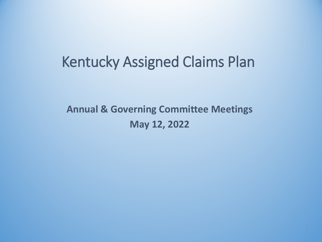### Kentucky Assigned Claims Plan

### **Annual & Governing Committee Meetings May 12, 2022**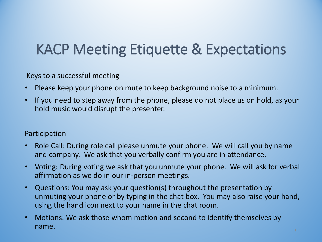# KACP Meeting Etiquette & Expectations

Keys to a successful meeting

- Please keep your phone on mute to keep background noise to a minimum.
- If you need to step away from the phone, please do not place us on hold, as your hold music would disrupt the presenter.

#### Participation

- Role Call: During role call please unmute your phone. We will call you by name and company. We ask that you verbally confirm you are in attendance.
- Voting: During voting we ask that you unmute your phone. We will ask for verbal affirmation as we do in our in-person meetings.
- Questions: You may ask your question(s) throughout the presentation by unmuting your phone or by typing in the chat box. You may also raise your hand, using the hand icon next to your name in the chat room.
- Motions: We ask those whom motion and second to identify themselves by name.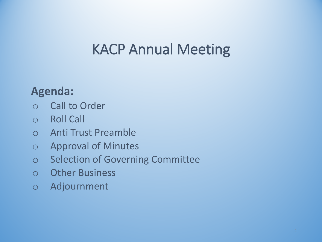# KACP Annual Meeting

### **Agenda:**

- o Call to Order
- o Roll Call
- o Anti Trust Preamble
- o Approval of Minutes
- o Selection of Governing Committee
- o Other Business
- o Adjournment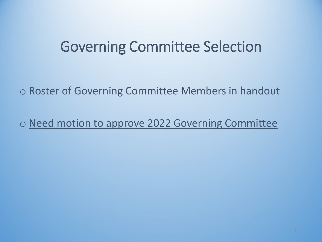### Governing Committee Selection

o Roster of Governing Committee Members in handout

o Need motion to approve 2022 Governing Committee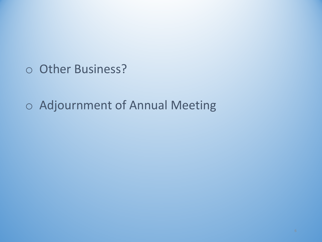o Other Business?

o Adjournment of Annual Meeting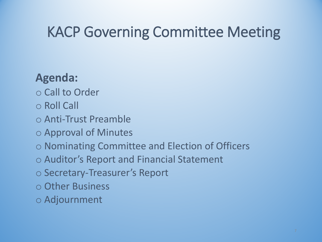# KACP Governing Committee Meeting

### **Agenda:**

- o Call to Order
- o Roll Call
- o Anti-Trust Preamble
- o Approval of Minutes
- o Nominating Committee and Election of Officers
- o Auditor's Report and Financial Statement
- o Secretary-Treasurer's Report
- o Other Business
- o Adjournment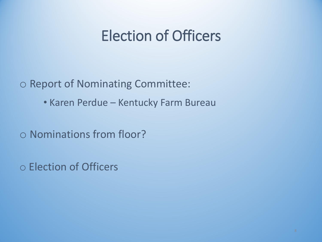## Election of Officers

o Report of Nominating Committee:

• Karen Perdue – Kentucky Farm Bureau

o Nominations from floor?

o Election of Officers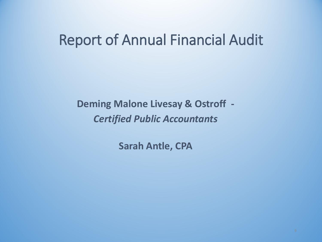### Report of Annual Financial Audit

**Deming Malone Livesay & Ostroff -** *Certified Public Accountants*

**Sarah Antle, CPA**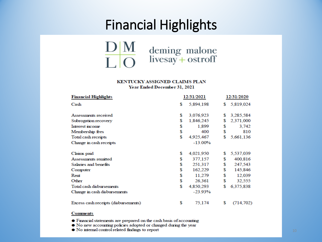### Financial Highlights



#### KENTUCKY ASSIGNED CLAIMS PLAN Year Ended December 31, 2021

| <b>Financial Highlights</b>          | 12/31/2021 |            | 12/31/2020 |            |
|--------------------------------------|------------|------------|------------|------------|
| Cash                                 | S          | 5,894,198  | S.         | 5,819,024  |
| Assessments received                 | S          | 3,076,923  | S          | 3,285,584  |
| Subrogation recovery                 | \$         | 1,846,245  | \$         | 2,371,000  |
| Interest income                      | \$         | 1,899      | S          | 3,742      |
| Membership fees                      | \$         | 400        | S          | 810        |
| Total cash receipts                  | S          | 4,925,467  |            | 5,661,136  |
| Change in cash receipts              |            | $-13.00\%$ |            |            |
| Claims paid                          | \$         | 4,021,950  | S          | 5,537,039  |
| Assessments remitted                 | \$         | 377,157    | S          | 400,816    |
| Salaries and benefits                | \$         | 251,317    | S          | 247,543    |
| Computer                             | \$         | 162.229    | S          | 145,846    |
| Rent                                 | \$         | 11,279     | S          | 12,039     |
| Other                                | \$         | 26,361     | S          | 32,555     |
| Total cash disbursements             | \$         | 4,850,293  | \$         | 6,375,838  |
| Change in cash disbursements         |            | $-23.93%$  |            |            |
| Excess cash receipts (disbursements) | \$         | 75,174     | \$         | (714, 702) |

#### **Comments**

- Financial statements are prepared on the cash basis of accounting
- No new accounting policies adopted or changed during the year
- No internal control related findings to report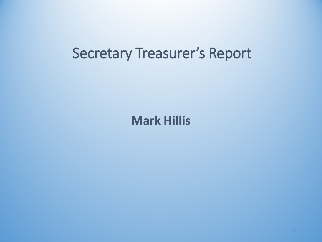### Secretary Treasurer's Report

**Mark Hillis**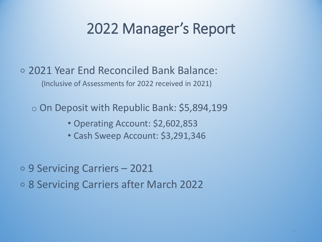### 2022 Manager's Report

∘ 2021 Year End Reconciled Bank Balance: (Inclusive of Assessments for 2022 received in 2021)

o On Deposit with Republic Bank: \$5,894,199

- Operating Account: \$2,602,853
- Cash Sweep Account: \$3,291,346

∘ 9 Servicing Carriers – 2021 ∘ 8 Servicing Carriers after March 2022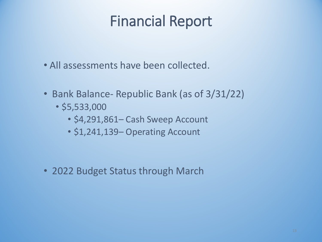# Financial Report

- All assessments have been collected.
- Bank Balance- Republic Bank (as of 3/31/22)
	- \$5,533,000
		- \$4,291,861– Cash Sweep Account
		- \$1,241,139– Operating Account

• 2022 Budget Status through March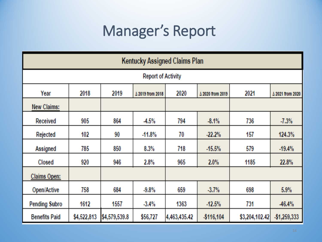# Manager's Report

| <b>Kentucky Assigned Claims Plan</b> |             |               |                  |              |                  |                |                  |
|--------------------------------------|-------------|---------------|------------------|--------------|------------------|----------------|------------------|
| <b>Report of Activity</b>            |             |               |                  |              |                  |                |                  |
| Year                                 | 2018        | 2019          | ∆ 2019 from 2018 | 2020         | ∆ 2020 from 2019 | 2021           | Δ 2021 from 2020 |
| New Claims:                          |             |               |                  |              |                  |                |                  |
| Received                             | 905         | 864           | $-4.5%$          | 794          | $-8.1%$          | 736            | $-7.3%$          |
| <b>Rejected</b>                      | 102         | 90            | -11.8%           | 70           | $-22.2%$         | 157            | 124.3%           |
| Assigned                             | 785         | 850           | 8.3%             | 718          | -15.5%           | 579            | $-19.4%$         |
| Closed                               | 920         | 946           | 2.8%             | 965          | 2.0%             | 1185           | 22.8%            |
| Claims Open:                         |             |               |                  |              |                  |                |                  |
| Open/Active                          | 758         | 684           | $-9.8\%$         | 659          | $-3.7%$          | 698            | 5.9%             |
| <b>Pending Subro</b>                 | 1612        | 1557          | $-3.4%$          | 1363         | $-12.5%$         | 731            | $-46.4%$         |
| <b>Benefits Paid</b>                 | \$4,522,813 | \$4,579,539.8 | \$56,727         | 4,463,435.42 | \$116,104        | \$3,204,102.42 | \$1,259,333      |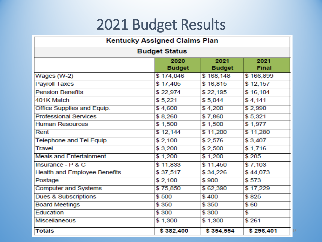# 2021 Budget Results

| <b>Kentucky Assigned Claims Plan</b> |                       |                       |                      |  |  |
|--------------------------------------|-----------------------|-----------------------|----------------------|--|--|
| <b>Budget Status</b>                 |                       |                       |                      |  |  |
|                                      | 2020<br><b>Budget</b> | 2021<br><b>Budget</b> | 2021<br><b>Final</b> |  |  |
| Wages (W-2)                          | \$174,046             | \$168,148             | \$166,899            |  |  |
| <b>Payroll Taxes</b>                 | \$17,405              | \$16,815              | \$12,157             |  |  |
| <b>Pension Benefits</b>              | \$22,974              | \$22,195              | \$16,104             |  |  |
| 401K Match                           | \$5,221               | \$5,044               | \$4,141              |  |  |
| Office Supplies and Equip.           | \$4,600               | \$4,200               | \$2,990              |  |  |
| <b>Professional Services</b>         | \$8,260               | \$7,860               | \$5,321              |  |  |
| <b>Human Resources</b>               | \$1,500               | \$1,500               | \$1,977              |  |  |
| Rent                                 | \$12,144              | \$11,200              | \$11,280             |  |  |
| Telephone and Tel. Equip.            | \$2,100               | \$2,576               | \$3,407              |  |  |
| <b>Travel</b>                        | \$3,200               | \$2,500               | \$1,716              |  |  |
| <b>Meals and Entertainment</b>       | \$1,200               | \$1,200               | \$285                |  |  |
| Insurance - P & C                    | \$11,833              | \$11,450              | \$7,103              |  |  |
| <b>Health and Employee Benefits</b>  | \$37,517              | \$34,226              | \$44,073             |  |  |
| Postage                              | \$2,100               | \$900                 | \$573                |  |  |
| <b>Computer and Systems</b>          | \$75,850              | \$62,390              | \$17,229             |  |  |
| <b>Dues &amp; Subscriptions</b>      | \$500                 | \$400                 | \$825                |  |  |
| <b>Board Meetings</b>                | \$350                 | \$350                 | \$60                 |  |  |
| Education                            | \$300                 | \$300                 | \$<br>÷              |  |  |
| <b>Miscellaneous</b>                 | \$1,300               | \$1,300               | \$261                |  |  |
| <b>Totals</b>                        | \$382,400             | \$354,554             | \$296,401            |  |  |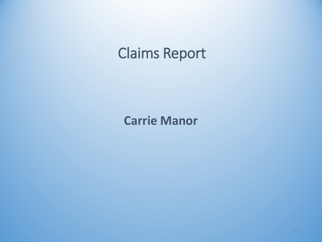### Claims Report

**Carrie Manor**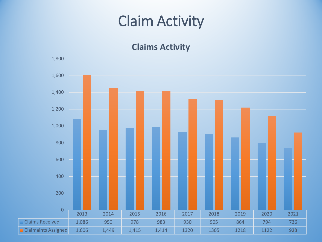## Claim Activity

### **Claims Activity**

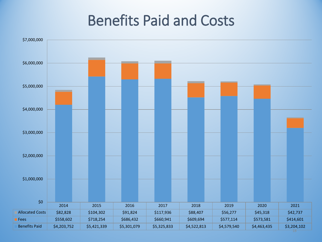### Benefits Paid and Costs

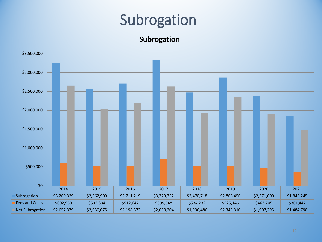### Subrogation

**Subrogation**

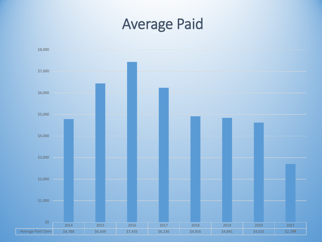### Average Paid

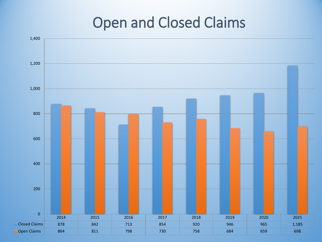# Open and Closed Claims

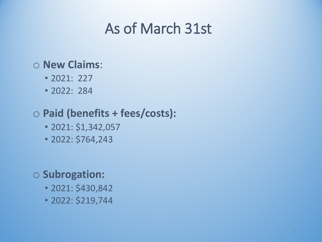### As of March 31st

### o **New Claims**:

- 2021: 227
- 2022: 284

### o **Paid (benefits + fees/costs):**

- 2021: \$1,342,057
- 2022: \$764,243

### o **Subrogation:**

- 2021: \$430,842
- 2022: \$219,744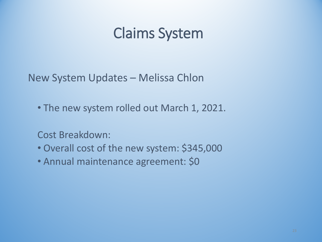## Claims System

New System Updates – Melissa Chlon

• The new system rolled out March 1, 2021.

Cost Breakdown:

- Overall cost of the new system: \$345,000
- Annual maintenance agreement: \$0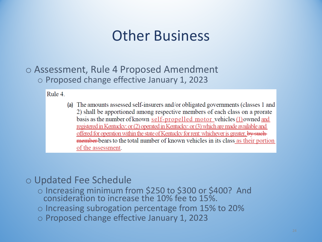### Other Business

o Assessment, Rule 4 Proposed Amendment o Proposed change effective January 1, 2023

Rule 4.

(a) The amounts assessed self-insurers and/or obligated governments (classes 1 and 2) shall be apportioned among respective members of each class on a prorate basis as the number of known self-propelled motor vehicles (1) owned and registered in Kentucky; or (2) operated in Kentucky: or (3) which are made available and offered for operation within the state of Kentucky for rent: whichever is greater, by suchmember bears to the total number of known vehicles in its class as their portion of the assessment.

### o Updated Fee Schedule

- o Increasing minimum from \$250 to \$300 or \$400? And consideration to increase the 10% fee to 15%.
- $\circ$  Increasing subrogation percentage from 15% to 20%
- o Proposed change effective January 1, 2023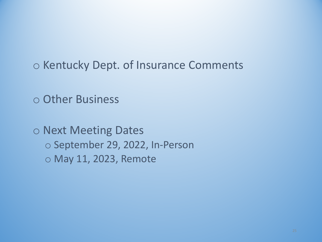o Kentucky Dept. of Insurance Comments

o Other Business

o Next Meeting Dates o September 29, 2022, In-Person o May 11, 2023, Remote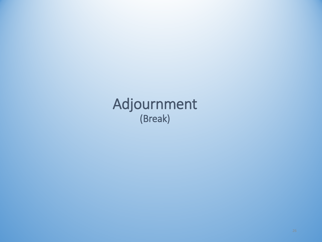Adjournment (Break)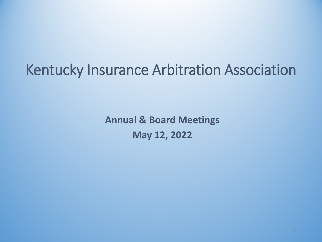# Kentucky Insurance Arbitration Association

**Annual & Board Meetings May 12, 2022**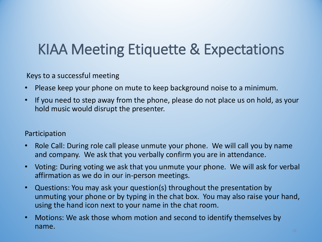# KIAA Meeting Etiquette & Expectations

Keys to a successful meeting

- Please keep your phone on mute to keep background noise to a minimum.
- If you need to step away from the phone, please do not place us on hold, as your hold music would disrupt the presenter.

#### Participation

- Role Call: During role call please unmute your phone. We will call you by name and company. We ask that you verbally confirm you are in attendance.
- Voting: During voting we ask that you unmute your phone. We will ask for verbal affirmation as we do in our in-person meetings.
- Questions: You may ask your question(s) throughout the presentation by unmuting your phone or by typing in the chat box. You may also raise your hand, using the hand icon next to your name in the chat room.
- Motions: We ask those whom motion and second to identify themselves by name.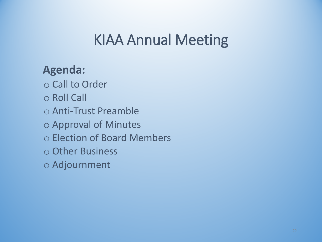## KIAA Annual Meeting

### **Agenda:**

o Call to Order

o Roll Call

o Anti-Trust Preamble

o Approval of Minutes

o Election of Board Members

o Other Business

o Adjournment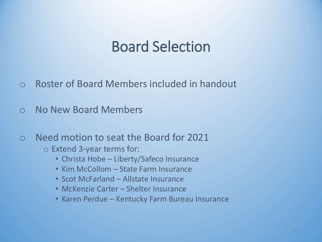### Board Selection

- o Roster of Board Members included in handout
- o No New Board Members
- o Need motion to seat the Board for 2021
	- o Extend 3-year terms for:
		- Christa Hobe Liberty/Safeco Insurance
		- Kim McCollom State Farm Insurance
		- Scot McFarland Allstate Insurance
		- McKenzie Carter Shelter Insurance
		- Karen Perdue Kentucky Farm Bureau Insurance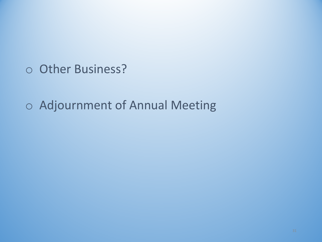o Other Business?

o Adjournment of Annual Meeting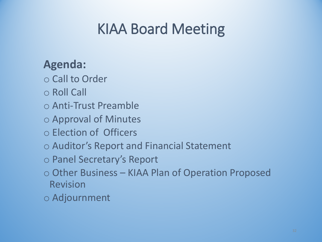# KIAA Board Meeting

### **Agenda:**

- o Call to Order
- o Roll Call
- o Anti-Trust Preamble
- o Approval of Minutes
- o Election of Officers
- o Auditor's Report and Financial Statement
- o Panel Secretary's Report
- o Other Business KIAA Plan of Operation Proposed Revision
- o Adjournment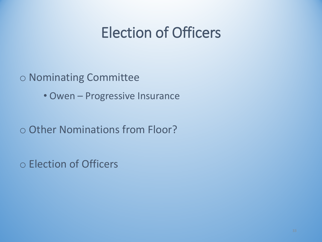# Election of Officers

### o Nominating Committee

• Owen – Progressive Insurance

o Other Nominations from Floor?

o Election of Officers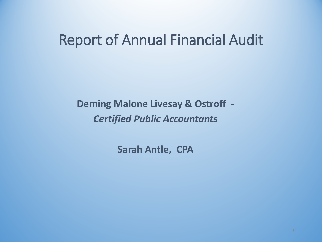### Report of Annual Financial Audit

**Deming Malone Livesay & Ostroff -** *Certified Public Accountants*

**Sarah Antle, CPA**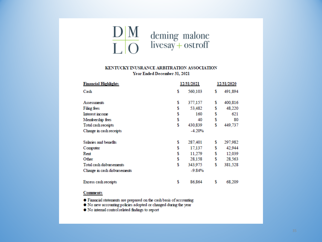

#### KENTUCKY INUSRANCE ARBITRATION ASSOCIATION Year Ended December 31, 2021

| <b>Financial Highlights</b>  | 12/31/2021 |          |    | 12/31/2020 |  |
|------------------------------|------------|----------|----|------------|--|
| Cash                         | \$         | 560,103  | s  | 491,894    |  |
| Assessments                  | \$         | 377,157  | s  | 400,816    |  |
| Filing fees                  |            | 53,482   | s  | 48,220     |  |
| Interest income              |            | 160      | \$ | 621        |  |
| Membership fees              | S          | 40       | \$ | 80         |  |
| Total cash receipts          |            | 430,839  | \$ | 449,737    |  |
| Change in cash receipts      |            | $-4.20%$ |    |            |  |
| Salaries and benefits        | \$         | 287,401  | s  | 297,982    |  |
| Computer                     |            | 17.137   | \$ | 42,944     |  |
| Rent                         |            | 11.279   | \$ | 12,039     |  |
| Other                        | \$         | 28,158   | \$ | 28,563     |  |
| Total cash disbursements     | \$         | 343,975  | \$ | 381,528    |  |
| Change in cash disbursements |            | $-9.84%$ |    |            |  |
| Excess cash receipts         | \$         | 86.864   | s  | 68.209     |  |

#### **Comments**

- Financial statements are prepared on the cash basis of accounting
- . No new accounting policies adopted or changed during the year
- . No internal control related findings to report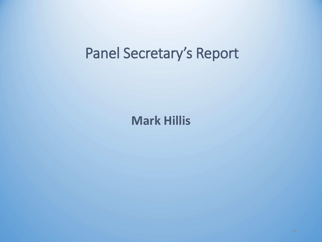### Panel Secretary's Report

**Mark Hillis**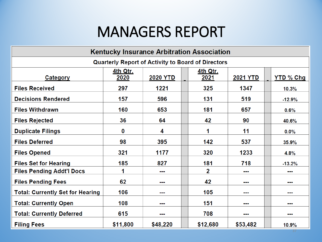### MANAGERS REPORT

| <b>Kentucky Insurance Arbitration Association</b>         |                  |          |                  |                 |                  |  |
|-----------------------------------------------------------|------------------|----------|------------------|-----------------|------------------|--|
| <b>Quarterly Report of Activity to Board of Directors</b> |                  |          |                  |                 |                  |  |
| Category                                                  | 4th Qtr.<br>2020 | 2020 YTD | 4th Qtr.<br>2021 | <b>2021 YTD</b> | <b>YTD % Chg</b> |  |
| <b>Files Received</b>                                     | 297              | 1221     | 325              | 1347            | 10.3%            |  |
| <b>Decisions Rendered</b>                                 | 157              | 596      | 131              | 519             | $-12.9%$         |  |
| <b>Files Withdrawn</b>                                    | 160              | 653      | 181              | 657             | 0.6%             |  |
| <b>Files Rejected</b>                                     | 36               | 64       | 42               | 90              | 40.6%            |  |
| <b>Duplicate Filings</b>                                  | $\bf{0}$         | 4        | 1                | 11              | 0.0%             |  |
| <b>Files Deferred</b>                                     | 98               | 395      | 142              | 537             | 35.9%            |  |
| <b>Files Opened</b>                                       | 321              | 1177     | 320              | 1233            | 4.8%             |  |
| <b>Files Set for Hearing</b>                              | 185              | 827      | 181              | 718             | $-13.2%$         |  |
| <b>Files Pending Addt'l Docs</b>                          |                  | ---      | 2                | ---             | .                |  |
| <b>Files Pending Fees</b>                                 | 62               | .        | 42               | ---             | ---              |  |
| <b>Total: Currently Set for Hearing</b>                   | 106              | .        | 105              | <b>HH</b>       | .                |  |
| <b>Total: Currently Open</b>                              | 108              | .        | 151              | ---             |                  |  |
| <b>Total: Currently Deferred</b>                          | 615              | ---      | 708              | ---             | ---              |  |
| <b>Filing Fees</b>                                        | \$11,800         | \$48,220 | \$12,680         | \$53,482        | 10.9%            |  |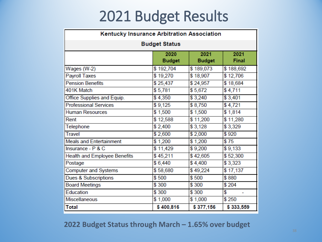## 2021 Budget Results

| Kentucky Insurance Arbitration Association          |                       |                       |                      |  |  |  |  |
|-----------------------------------------------------|-----------------------|-----------------------|----------------------|--|--|--|--|
| <b>Budget Status</b>                                |                       |                       |                      |  |  |  |  |
|                                                     | 2020<br><b>Budget</b> | 2021<br><b>Budget</b> | 2021<br><b>Final</b> |  |  |  |  |
| Wages (W-2)                                         | \$192,704             | \$189,073             | \$188,692            |  |  |  |  |
| Payroll Taxes                                       | \$19,270              | \$18,907              | \$12,706             |  |  |  |  |
| <b>Pension Benefits</b>                             | \$25,437              | \$24,957              | \$18,684             |  |  |  |  |
| 401K Match                                          | \$5,781               | \$5,672               | \$4,711              |  |  |  |  |
| Office Supplies and Equip.                          | \$4,350               | \$3,240               | \$3,401              |  |  |  |  |
| <b>Professional Services</b>                        | \$9,125               | \$8,750               | \$4,721              |  |  |  |  |
| <b>Human Resources</b>                              | \$1,500               | \$1,500               | \$1,814              |  |  |  |  |
| Rent                                                | \$12,588              | \$11,200              | \$11,280             |  |  |  |  |
| Telephone                                           | \$2,400               | \$3,128               | \$3,329              |  |  |  |  |
| <b>Travel</b>                                       | \$2,600               | \$2,000               | \$920                |  |  |  |  |
| <b>Meals and Entertainment</b>                      | \$1,200               | \$1,200               | \$75                 |  |  |  |  |
| Insurance - P & C                                   | \$11,429              | \$9,200               | \$9,133              |  |  |  |  |
| <b>Health and Employee Benefits</b>                 | \$45,211              | \$42,605              | \$52,300             |  |  |  |  |
| Postage                                             | \$6,440               | \$4,400               | \$3,323              |  |  |  |  |
| <b>Computer and Systems</b>                         | \$58,680              | \$49,224              | \$17,137             |  |  |  |  |
| Dues & Subscriptions                                | \$500                 | \$500                 | \$880                |  |  |  |  |
| <b>Board Meetings</b>                               | \$300                 | \$300                 | \$204                |  |  |  |  |
| Education                                           | \$300                 | \$300                 | \$                   |  |  |  |  |
| <b>Miscellaneous</b>                                | \$1,000               | \$1,000               | \$250                |  |  |  |  |
| \$377,156<br>\$400,816<br>\$333,559<br><b>Total</b> |                       |                       |                      |  |  |  |  |

#### **2022 Budget Status through March – 1.65% over budget**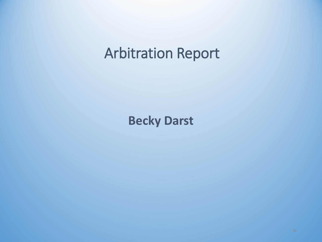### Arbitration Report

**Becky Darst**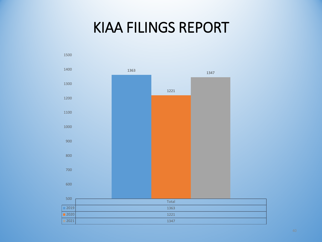### KIAA FILINGS REPORT

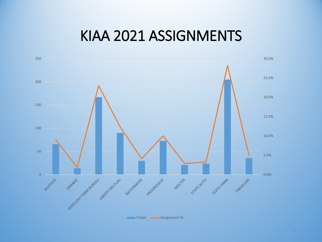### KIAA 2021 ASSIGNMENTS

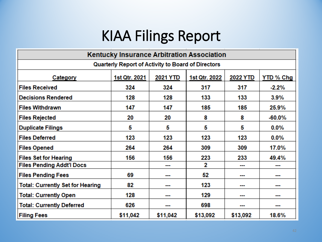# KIAA Filings Report

| <b>Kentucky Insurance Arbitration Association</b>  |               |                 |               |                 |                  |  |  |
|----------------------------------------------------|---------------|-----------------|---------------|-----------------|------------------|--|--|
| Quarterly Report of Activity to Board of Directors |               |                 |               |                 |                  |  |  |
| Category                                           | 1st Qtr. 2021 | <b>2021 YTD</b> | 1st Qtr. 2022 | <b>2022 YTD</b> | <b>YTD % Chg</b> |  |  |
| <b>Files Received</b>                              | 324           | 324             | 317           | 317             | $-2.2\%$         |  |  |
| <b>Decisions Rendered</b>                          | 128           | 128             | 133           | 133             | 3.9%             |  |  |
| <b>Files Withdrawn</b>                             | 147           | 147             | 185           | 185             | 25.9%            |  |  |
| <b>Files Rejected</b>                              | 20            | 20              | 8             | 8               | $-60.0\%$        |  |  |
| <b>Duplicate Filings</b>                           | 5             | 5               | 5             | 5               | $0.0\%$          |  |  |
| <b>Files Deferred</b>                              | 123           | 123             | 123           | 123             | $0.0\%$          |  |  |
| <b>Files Opened</b>                                | 264           | 264             | 309           | 309             | 17.0%            |  |  |
| <b>Files Set for Hearing</b>                       | 156           | 156             | 223           | 233             | 49.4%            |  |  |
| <b>Files Pending Addt'l Docs</b>                   |               | ---             | 2             |                 | ---              |  |  |
| <b>Files Pending Fees</b>                          | 69            | ---             | 52            | ---             | ---              |  |  |
| <b>Total: Currently Set for Hearing</b>            | 82            | .               | 123           |                 |                  |  |  |
| <b>Total: Currently Open</b>                       | 128           | ---             | 129           | ---             | ---              |  |  |
| <b>Total: Currently Deferred</b>                   | 626           | ---             | 698           | ---             | ---              |  |  |
| <b>Filing Fees</b>                                 | \$11,042      | \$11,042        | \$13,092      | \$13,092        | 18.6%            |  |  |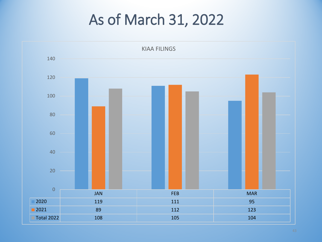# As of March 31, 2022

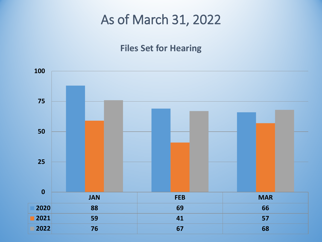### As of March 31, 2022

### **Files Set for Hearing**

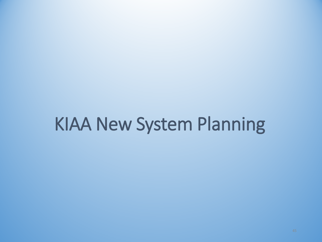# KIAA New System Planning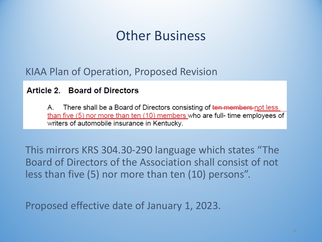### Other Business

### KIAA Plan of Operation, Proposed Revision

#### **Article 2. Board of Directors**

There shall be a Board of Directors consisting of ten members-not less Α. than five (5) nor more than ten (10) members who are full- time employees of writers of automobile insurance in Kentucky.

This mirrors KRS 304.30-290 language which states "The Board of Directors of the Association shall consist of not less than five (5) nor more than ten (10) persons".

Proposed effective date of January 1, 2023.